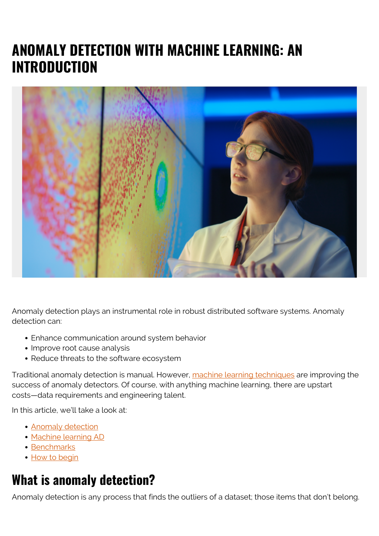# **ANOMALY DETECTION WITH MACHINE LEARNING: AN INTRODUCTION**



Anomaly detection plays an instrumental role in robust distributed software systems. Anomaly detection can:

- Enhance communication around system behavior
- Improve root cause analysis
- Reduce threats to the software ecosystem

Traditional anomaly detection is manual. However, [machine learning techniques](https://blogs.bmc.com/blogs/machine-learning-hype-vs-reality/) are improving the success of anomaly detectors. Of course, with anything machine learning, there are upstart costs—data requirements and engineering talent.

In this article, we'll take a look at:

- **[Anomaly detection](#page--1-0)**
- [Machine learning AD](#page--1-0)
- [Benchmarks](#page--1-0)
- [How to begin](#page--1-0)

## **What is anomaly detection?**

Anomaly detection is any process that finds the outliers of a dataset; those items that don't belong.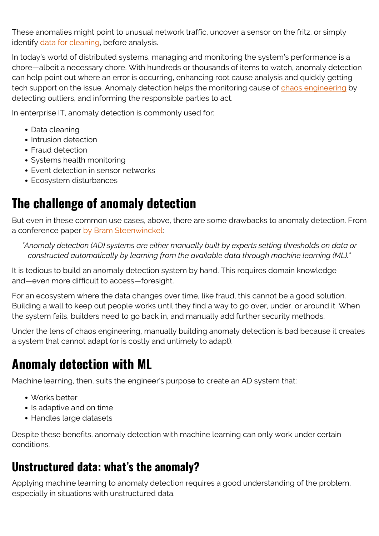These anomalies might point to unusual network traffic, uncover a sensor on the fritz, or simply identify [data for cleaning](https://blogs.bmc.com/blogs/data-normalization/), before analysis.

In today's world of distributed systems, managing and monitoring the system's performance is a chore—albeit a necessary chore. With hundreds or thousands of items to watch, anomaly detection can help point out where an error is occurring, enhancing root cause analysis and quickly getting tech support on the issue. Anomaly detection helps the monitoring cause of [chaos engineering](https://blogs.bmc.com/blogs/chaos-engineering/) by detecting outliers, and informing the responsible parties to act.

In enterprise IT, anomaly detection is commonly used for:

- Data cleaning
- Intrusion detection
- Fraud detection
- Systems health monitoring
- Event detection in sensor networks
- Ecosystem disturbances

## **The challenge of anomaly detection**

But even in these common use cases, above, there are some drawbacks to anomaly detection. From a conference paper [by Bram Steenwinckel](https://link.springer.com/chapter/10.1007/978-3-319-98192-5_46):

*"Anomaly detection (AD) systems are either manually built by experts setting thresholds on data or constructed automatically by learning from the available data through machine learning (ML)."*

It is tedious to build an anomaly detection system by hand. This requires domain knowledge and—even more difficult to access—foresight.

For an ecosystem where the data changes over time, like fraud, this cannot be a good solution. Building a wall to keep out people works until they find a way to go over, under, or around it. When the system fails, builders need to go back in, and manually add further security methods.

Under the lens of chaos engineering, manually building anomaly detection is bad because it creates a system that cannot adapt (or is costly and untimely to adapt).

## **Anomaly detection with ML**

Machine learning, then, suits the engineer's purpose to create an AD system that:

- Works better
- Is adaptive and on time
- Handles large datasets

Despite these benefits, anomaly detection with machine learning can only work under certain conditions.

#### **Unstructured data: what's the anomaly?**

Applying machine learning to anomaly detection requires a good understanding of the problem, especially in situations with unstructured data.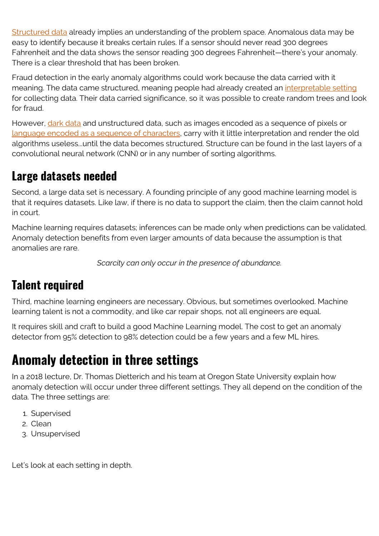[Structured data](https://blogs.bmc.com/blogs/structured-vs-unstructured-data/) already implies an understanding of the problem space. Anomalous data may be easy to identify because it breaks certain rules. If a sensor should never read 300 degrees Fahrenheit and the data shows the sensor reading 300 degrees Fahrenheit—there's your anomaly. There is a clear threshold that has been broken.

Fraud detection in the early anomaly algorithms could work because the data carried with it meaning. The data came structured, meaning people had already created an [interpretable setting](https://blogs.bmc.com/blogs/machine-learning-interpretability-vs-explainability/) for collecting data. Their data carried significance, so it was possible to create random trees and look for fraud.

However, *[dark data](https://blogs.bmc.com/blogs/dark-data/)* and unstructured data, such as images encoded as a sequence of pixels or [language encoded as a sequence of characters,](https://blogs.bmc.com/blogs/gpt-3/) carry with it little interpretation and render the old algorithms useless...until the data becomes structured. Structure can be found in the last layers of a convolutional neural network (CNN) or in any number of sorting algorithms.

### **Large datasets needed**

Second, a large data set is necessary. A founding principle of any good machine learning model is that it requires datasets. Like law, if there is no data to support the claim, then the claim cannot hold in court.

Machine learning requires datasets; inferences can be made only when predictions can be validated. Anomaly detection benefits from even larger amounts of data because the assumption is that anomalies are rare.

*Scarcity can only occur in the presence of abundance.*

### **Talent required**

Third, machine learning engineers are necessary. Obvious, but sometimes overlooked. Machine learning talent is not a commodity, and like car repair shops, not all engineers are equal.

It requires skill and craft to build a good Machine Learning model. The cost to get an anomaly detector from 95% detection to 98% detection could be a few years and a few ML hires.

# **Anomaly detection in three settings**

In a 2018 lecture, Dr. Thomas Dietterich and his team at Oregon State University explain how anomaly detection will occur under three different settings. They all depend on the condition of the data. The three settings are:

- 1. Supervised
- 2. Clean
- 3. Unsupervised

Let's look at each setting in depth.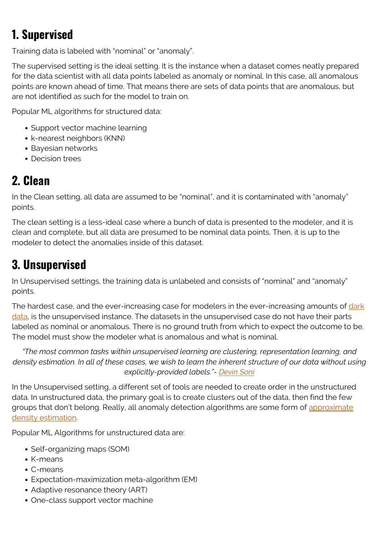## **1. Supervised**

Training data is labeled with "nominal" or "anomaly".

The supervised setting is the ideal setting. It is the instance when a dataset comes neatly prepared for the data scientist with all data points labeled as anomaly or nominal. In this case, all anomalous points are known ahead of time. That means there are sets of data points that are anomalous, but are not identified as such for the model to train on.

Popular ML algorithms for structured data:

- Support vector machine learning
- k-nearest neighbors (KNN)
- Bayesian networks
- Decision trees

## **2. Clean**

In the Clean setting, all data are assumed to be "nominal", and it is contaminated with "anomaly" points.

The clean setting is a less-ideal case where a bunch of data is presented to the modeler, and it is clean and complete, but all data are presumed to be nominal data points. Then, it is up to the modeler to detect the anomalies inside of this dataset.

## **3. Unsupervised**

In Unsupervised settings, the training data is unlabeled and consists of "nominal" and "anomaly" points.

The hardest case, and the ever-increasing case for modelers in the ever-increasing amounts of [dark](https://blogs.bmc.com/blogs/dark-data/) [data](https://blogs.bmc.com/blogs/dark-data/), is the unsupervised instance. The datasets in the unsupervised case do not have their parts labeled as nominal or anomalous. There is no ground truth from which to expect the outcome to be. The model must show the modeler what is anomalous and what is nominal.

*"The most common tasks within unsupervised learning are clustering, representation learning, and density estimation. In all of these cases, we wish to learn the inherent structure of our data without using explicitly-provided labels."- [Devin Soni](https://towardsdatascience.com/supervised-vs-unsupervised-learning-14f68e32ea8d)*

In the Unsupervised setting, a different set of tools are needed to create order in the unstructured data. In unstructured data, the primary goal is to create clusters out of the data, then find the few groups that don't belong. Really, all anomaly detection algorithms are some form of [approximate](https://machinelearningmastery.com/probability-density-estimation/) [density estimation](https://machinelearningmastery.com/probability-density-estimation/).

Popular ML Algorithms for unstructured data are:

- Self-organizing maps (SOM)
- K-means
- C-means
- Expectation-maximization meta-algorithm (EM)
- Adaptive resonance theory (ART)
- One-class support vector machine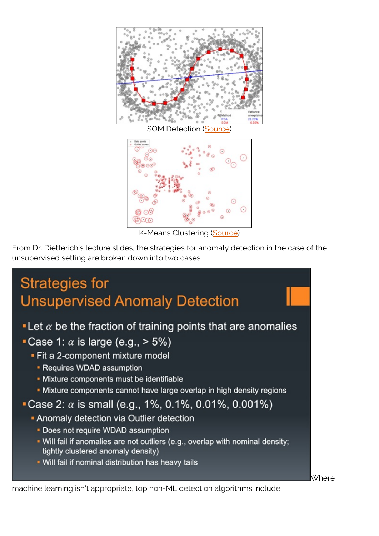

K-Means Clustering [\(Source\)](https://medium.com/learningdatascience/anomaly-detection-techniques-in-python-50f650c75aaf)

From Dr. Dietterich's lecture slides, the strategies for anomaly detection in the case of the unsupervised setting are broken down into two cases:



machine learning isn't appropriate, top non-ML detection algorithms include: